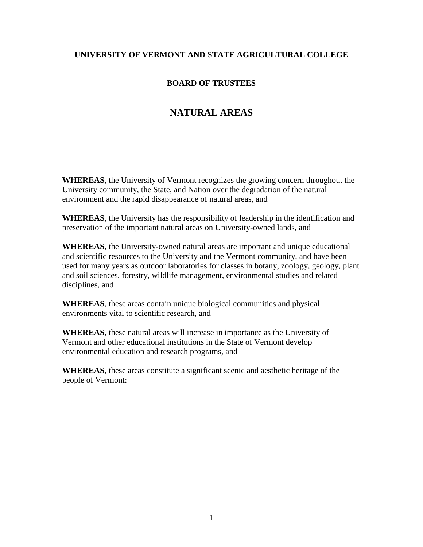## **UNIVERSITY OF VERMONT AND STATE AGRICULTURAL COLLEGE**

## **BOARD OF TRUSTEES**

## **NATURAL AREAS**

**WHEREAS**, the University of Vermont recognizes the growing concern throughout the University community, the State, and Nation over the degradation of the natural environment and the rapid disappearance of natural areas, and

**WHEREAS**, the University has the responsibility of leadership in the identification and preservation of the important natural areas on University-owned lands, and

**WHEREAS**, the University-owned natural areas are important and unique educational and scientific resources to the University and the Vermont community, and have been used for many years as outdoor laboratories for classes in botany, zoology, geology, plant and soil sciences, forestry, wildlife management, environmental studies and related disciplines, and

**WHEREAS**, these areas contain unique biological communities and physical environments vital to scientific research, and

**WHEREAS**, these natural areas will increase in importance as the University of Vermont and other educational institutions in the State of Vermont develop environmental education and research programs, and

**WHEREAS**, these areas constitute a significant scenic and aesthetic heritage of the people of Vermont: